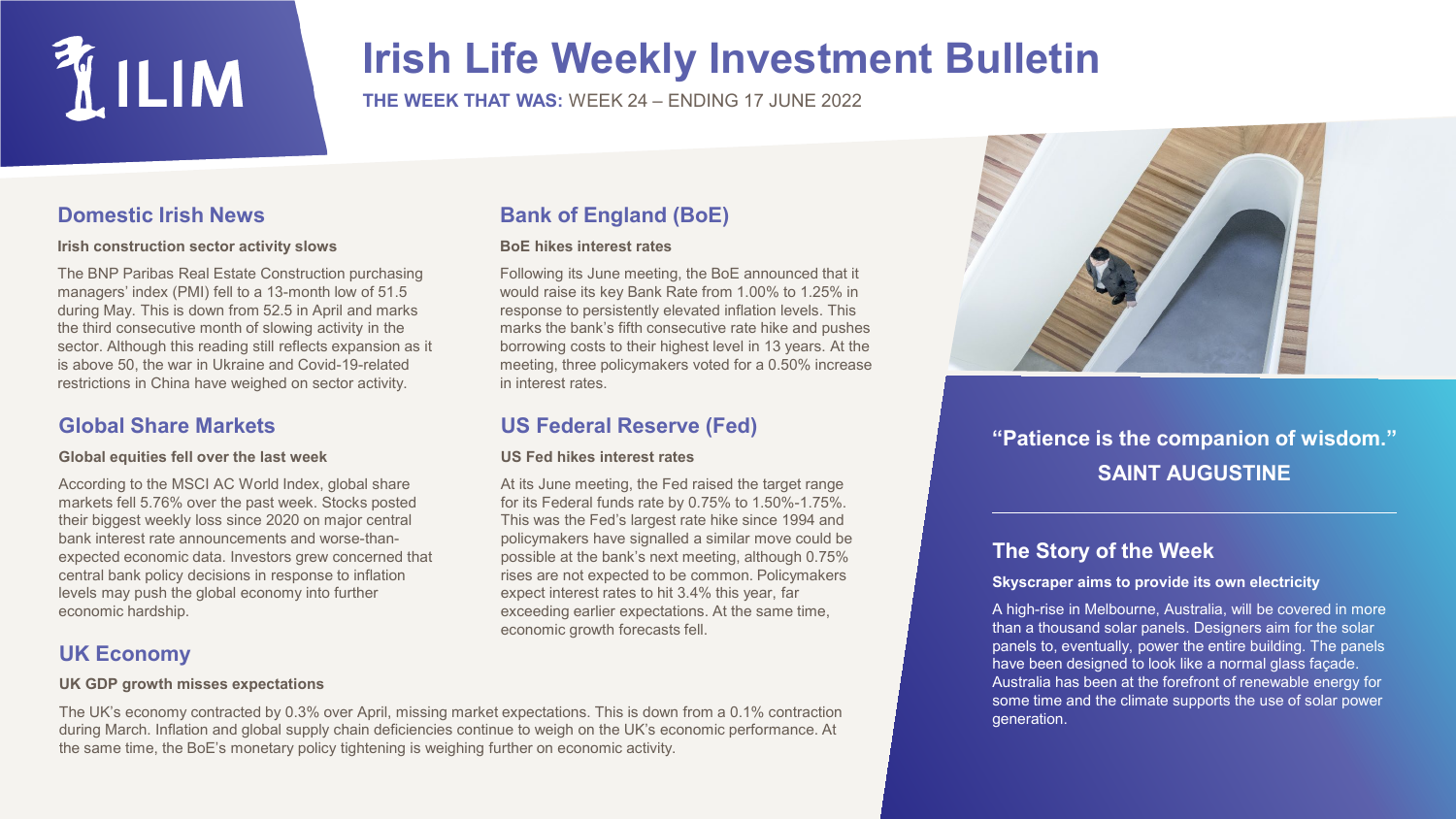

## **Irish Life Weekly Investment Bulletin**

**THE WEEK THAT WAS:** WEEK 24 – ENDING 17 JUNE 2022

**Bank of England (BoE)**

**US Federal Reserve (Fed)**

**US Fed hikes interest rates**

economic growth forecasts fell.

Following its June meeting, the BoE announced that it would raise its key Bank Rate from 1.00% to 1.25% in response to persistently elevated inflation levels. This marks the bank's fifth consecutive rate hike and pushes borrowing costs to their highest level in 13 years. At the meeting, three policymakers voted for a 0.50% increase

At its June meeting, the Fed raised the target range for its Federal funds rate by 0.75% to 1.50%-1.75%. This was the Fed's largest rate hike since 1994 and policymakers have signalled a similar move could be possible at the bank's next meeting, although 0.75% rises are not expected to be common. Policymakers expect interest rates to hit 3.4% this year, far exceeding earlier expectations. At the same time,

**BoE hikes interest rates**

in interest rates.

## **Domestic Irish News**

#### **Irish construction sector activity slows**

The BNP Paribas Real Estate Construction purchasing managers' index (PMI) fell to a 13-month low of 51.5 during May. This is down from 52.5 in April and marks the third consecutive month of slowing activity in the sector. Although this reading still reflects expansion as it is above 50, the war in Ukraine and Covid-19-related restrictions in China have weighed on sector activity.

### **Global Share Markets**

#### **Global equities fell over the last week**

According to the MSCI AC World Index, global share markets fell 5.76% over the past week. Stocks posted their biggest weekly loss since 2020 on major central bank interest rate announcements and worse-thanexpected economic data. Investors grew concerned that central bank policy decisions in response to inflation levels may push the global economy into further economic hardship.

### **UK Economy**

#### **UK GDP growth misses expectations**

The UK's economy contracted by 0.3% over April, missing market expectations. This is down from a 0.1% contraction during March. Inflation and global supply chain deficiencies continue to weigh on the UK's economic performance. At the same time, the BoE's monetary policy tightening is weighing further on economic activity.



## **"Patience is the companion of wisdom." SAINT AUGUSTINE**

## **The Story of the Week**

#### **Skyscraper aims to provide its own electricity**

A high-rise in Melbourne, Australia, will be covered in more than a thousand solar panels. Designers aim for the solar panels to, eventually, power the entire building. The panels have been designed to look like a normal glass façade. Australia has been at the forefront of renewable energy for some time and the climate supports the use of solar power generation.